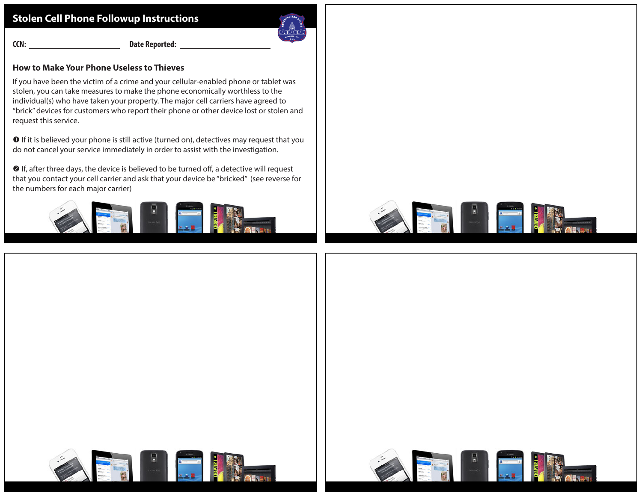

**CCN: Date Reported:**

#### **How to Make Your Phone Useless to Thieves**

If you have been the victim of a crime and your cellular-enabled phone or tablet was stolen, you can take measures to make the phone economically worthless to the individual(s) who have taken your property. The major cell carriers have agreed to "brick" devices for customers who report their phone or other device lost or stolen and request this service.

**O** If it is believed your phone is still active (turned on), detectives may request that you do not cancel your service immediately in order to assist with the investigation.

 $\Theta$  If, after three days, the device is believed to be turned off, a detective will request that you contact your cell carrier and ask that your device be "bricked" (see reverse for the numbers for each major carrier)